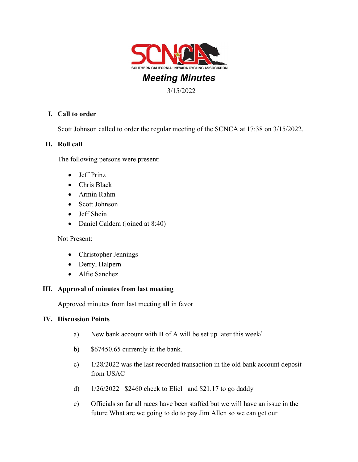

# Meeting Minutes

3/15/2022

## I. Call to order

Scott Johnson called to order the regular meeting of the SCNCA at 17:38 on 3/15/2022.

### II. Roll call

The following persons were present:

- Jeff Prinz
- Chris Black
- Armin Rahm
- Scott Johnson
- Jeff Shein
- Daniel Caldera (joined at 8:40)

Not Present:

- Christopher Jennings
- Derryl Halpern
- Alfie Sanchez

### III. Approval of minutes from last meeting

Approved minutes from last meeting all in favor

### IV. Discussion Points

- a) New bank account with B of A will be set up later this week/
- b) \$67450.65 currently in the bank.
- c) 1/28/2022 was the last recorded transaction in the old bank account deposit from USAC
- d)  $1/26/2022$  \$2460 check to Eliel and \$21.17 to go daddy
- e) Officials so far all races have been staffed but we will have an issue in the future What are we going to do to pay Jim Allen so we can get our